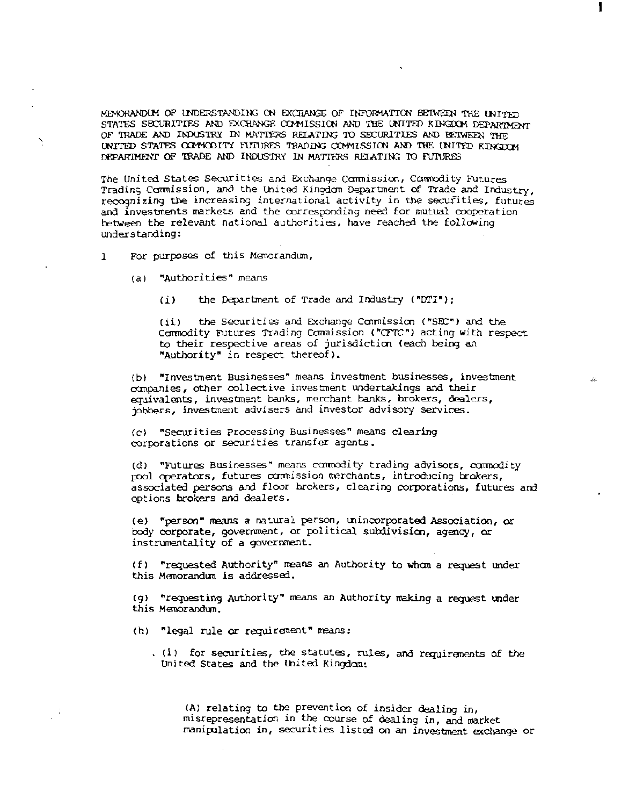MEMORANDUM OF UNDERSTANDING ON EXCHANGE OF INFORMATION BETWEEN THE INTERD STATES SECURITIES AND EXCHANGE COMMISSION AND THE UNITED KINGIOM DEPARTMENT OF TRADE AND INDUSTRY IN MATTERS RELATING TO SECURITIES AND BETWEEN THE UNITED STATES CONNODITY FUTURES TRADING CONNISSION AND THE UNITED KINGTOM DEPARTMENT OF TRADE AND INDUSTRY IN MATTERS RELATING TO FUTURES

The United States Securities and Exchange Commission, Commodity Futures Trading Commission, and the United Kingdom Department of Trade and Industry, recognizing the increasing international activity in the securities, futures and investments markets and the corresponding need for mutual cooperation between the relevant national authorities, have reached the following understanding:

For purposes of this Memorandum,  $\mathbf{1}$ 

(a) "Authorities" means

the Department of Trade and Industry ("DTI");  $(i)$ 

the Securities and Exchange Commission ("SEC") and the  $(ii)$ Commodity Futures Trading Commission ("CFTC") acting with respect to their respective areas of jurisdiction (each being an "Authority" in respect thereof).

"Investment Businesses" means investment businesses, investment  $(b)$ companies, other collective investment undertakings and their equivalents, investment banks, merchant banks, brokers, dealers, jobbers, investment advisers and investor advisory services.

(c) "Securities Processing Businesses" means clearing corporations or securities transfer agents.

(d) "Futures Businesses" means commodity trading advisors, commodity pool operators, futures commission merchants, introducing brokers, associated persons and floor brokers, clearing corporations, futures and options brokers and dealers.

"person" means a natural person, unincorporated Association, or  $(e)$ body corporate, government, or political subdivision, agency, or instrumentality of a government.

(f) "requested Authority" means an Authority to whom a request under this Memorandum is addressed.

(g) "requesting Authority" means an Authority making a request under this Memorandum.

(h) "legal rule or requirement" means:

(i) for securities, the statutes, rules, and requirements of the United States and the United Kingdom:

(A) relating to the prevention of insider dealing in, misrepresentation in the course of dealing in, and market manipulation in, securities listed on an investment exchange or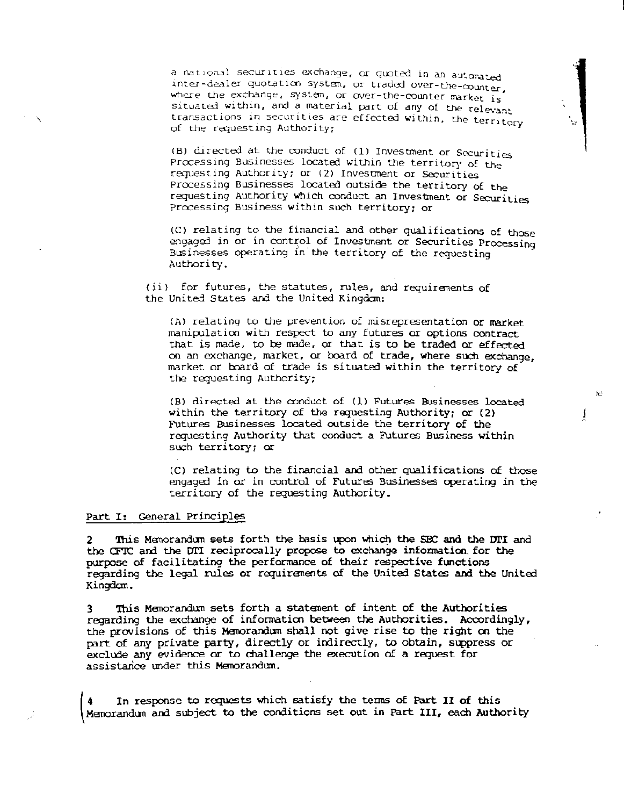a national securities exchange, or quoted in an automated inter-dealer quotation system, or traded over-the-counter, where the exchange, system, or over-the-counter market is situated within, and a material part of any of the relevant transactions in securities are effected within, the territory of the requesting Authority;

(B) directed at the conduct of (1) Investment or Securities Processing Businesses located within the territory of the requesting Authority; or (2) Investment or Securities Processing Businesses located outside the territory of the requesting Authority which conduct an Investment or Securities Processing Business within such territory; or

(C) relating to the financial and other qualifications of those engaged in or in control of Investment or Securities Processing Businesses operating in the territory of the requesting Authority.

(ii) for futures, the statutes, rules, and requirements of the United States and the United Kingdom:

(A) relating to the prevention of misrepresentation or market manipulation with respect to any futures or options contract that is made, to be made, or that is to be traded or effected on an exchange, market, or board of trade, where such exchange. market or board of trade is situated within the territory of the requesting Authority;

6È.

(B) directed at the conduct of (1) Futures Businesses located within the territory of the requesting Authority; or (2) Futures Businesses located outside the territory of the requesting Authority that conduct a Futures Business within such territory; or

(C) relating to the financial and other qualifications of those engaged in or in control of Futures Businesses operating in the territory of the requesting Authority.

## Part I: General Principles

This Memorandum sets forth the basis upon which the SEC and the DTI and the CFTC and the DTI reciprocally propose to exchange information for the purpose of facilitating the performance of their respective functions regarding the legal rules or requirements of the United States and the United Kingdam.

This Memorandum sets forth a statement of intent of the Authorities 3 regarding the exchange of information between the Authorities. Accordingly, the provisions of this Memorandum shall not give rise to the right on the part of any private party, directly or indirectly, to obtain, suppress or exclude any evidence or to challenge the execution of a request for assistance under this Memorandum.

In response to requests which satisfy the terms of Part II of this Memorandum and subject to the conditions set out in Part III, each Authority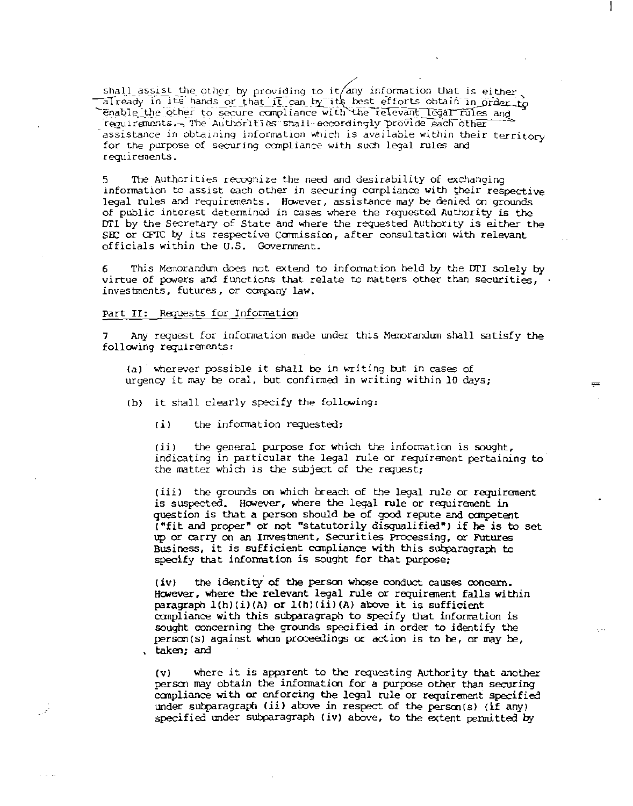shall assist the other by providing to it/any information that is either already in its hands or that it can by its best efforts obtain in order to requirements. The Authorities shall accordingly provide each other assistance in obtaining information which is available within their territory for the purpose of securing compliance with such legal rules and requirements.

The Authorities recognize the need and desirability of exchanging 5. information to assist each other in securing compliance with their respective legal rules and requirements. However, assistance may be denied on grounds of public interest determined in cases where the requested Authority is the DTI by the Secretary of State and where the requested Authority is either the SEC or CFTC by its respective Commission, after consultation with relevant officials within the U.S. Government.

This Memorandum does not extend to information held by the DTI solely by 6 virtue of powers and functions that relate to matters other than securities,  $\ddot{\ }$ . investments, futures, or company law.

#### Part II: Requests for Information

Any request for information made under this Memorandum shall satisfy the 7. following requirements:

(a) wherever possible it shall be in writing but in cases of urgency it may be oral, but confirmed in writing within 10 days;

- (b) it shall clearly specify the following:
	- $(i)$ the information requested;

the general purpose for which the information is sought,  $(ii)$ indicating in particular the legal rule or requirement pertaining to the matter which is the subject of the request;

ದದ

(iii) the grounds on which breach of the legal rule or requirement is suspected. However, where the legal rule or requirement in question is that a person should be of good repute and competent ("fit and proper" or not "statutorily disqualified") if he is to set up or carry on an Investment, Securities Processing, or Futures Business, it is sufficient compliance with this subparagraph to specify that information is sought for that purpose;

the identity of the person whose conduct causes concern.  $(iv)$ However, where the relevant legal rule or requirement falls within paragraph  $l(h)(i)(A)$  or  $l(h)(ii)(A)$  above it is sufficient compliance with this subparagraph to specify that information is sought concerning the grounds specified in order to identify the person(s) against when proceedings or action is to be, or may be, taken; and

where it is apparent to the requesting Authority that another  $(v)$ person may obtain the information for a purpose other than securing compliance with or enforcing the legal rule or requirement specified under subparagraph (ii) above in respect of the person(s) (if any) specified under subparagraph (iv) above, to the extent permitted by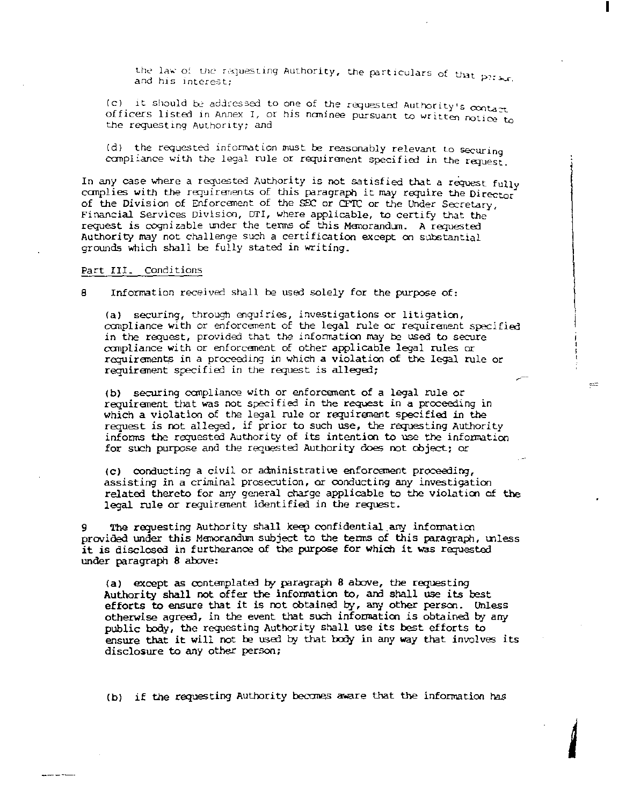the law of the requesting Authority, the particulars of that pirsur. and his interest;

(c) it should be addressed to one of the requested Authority's contact officers listed in Annex I, or his nominee pursuant to written notice to the requesting Authority; and

(d) the requested information must be reasonably relevant to securing compliance with the legal rule or requirement specified in the request.

In any case where a requested Authority is not satisfied that a request fully complies with the requirements of this paragraph it may require the Director of the Division of Enforcement of the SEC or CFTC or the Under Secretary, Financial Services Division, DTI, where applicable, to certify that the request is cognizable under the terms of this Memorandum. A requested Authority may not challenge such a certification except on substantial grounds which shall be fully stated in writing.

#### Part III. Conditions

я Information received shall be used solely for the purpose of:

(a) securing, through enquiries, investigations or litigation, compliance with or enforcement of the legal rule or requirement specified in the request, provided that the information may be used to secure compliance with or enforcement of other applicable legal rules or requirements in a proceeding in which a violation of the legal rule or requirement specified in the request is alleged;

(b) securing compliance with or enforcement of a legal rule or requirement that was not specified in the request in a proceeding in which a violation of the legal rule or requirement specified in the request is not alleged, if prior to such use, the requesting Authority informs the requested Authority of its intention to use the information for such purpose and the requested Authority does not object; or

(c) conducting a civil or administrative enforcement proceeding, assisting in a criminal prosecution, or conducting any investigation related thereto for any general charge applicable to the violation of the legal rule or requirement identified in the request.

The requesting Authority shall keep confidential any information provided under this Memorandum subject to the terms of this paragraph, unless it is disclosed in furtherance of the purpose for which it was requested under paragraph 8 above:

(a) except as contemplated by paragraph 8 above, the requesting Authority shall not offer the information to, and shall use its best efforts to ensure that it is not obtained by, any other person. Unless otherwise agreed, in the event that such information is obtained by any public body, the requesting Authority shall use its best efforts to ensure that it will not be used by that body in any way that involves its disclosure to any other person;

(b) if the requesting Authority becomes aware that the information has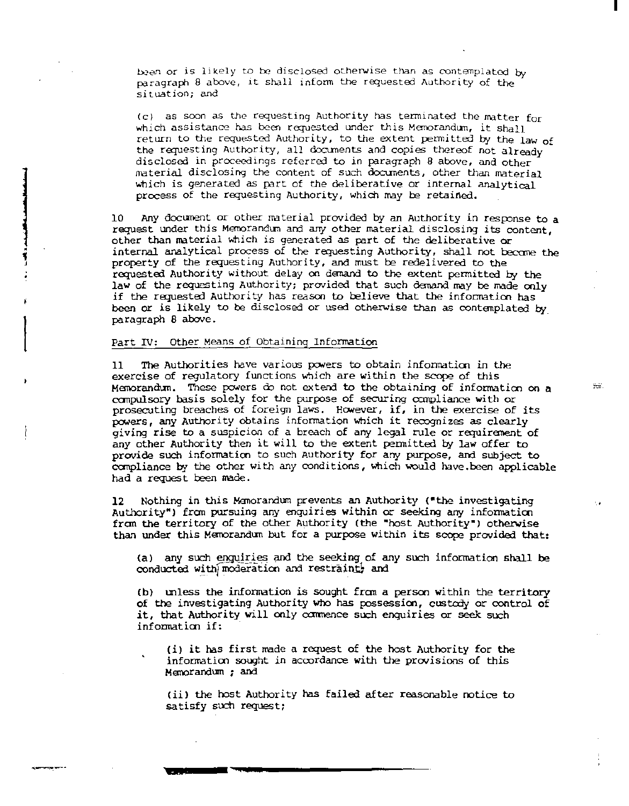been or is likely to be disclosed otherwise than as contemplated by paragraph 8 above, it shall inform the requested Authority of the situation: and

(c) as soon as the requesting Authority has terminated the matter for which assistance has been requested under this Memorandum, it shall return to the requested Authority, to the extent permitted by the law of the requesting Authority, all documents and copies thereof not already disclosed in proceedings referred to in paragraph 8 above, and other material disclosing the content of such documents, other than material which is generated as part of the deliberative or internal analytical process of the requesting Authority, which may be retained.

Any document or other material provided by an Authority in response to a 10 request under this Memorandum and any other material disclosing its content. other than material which is generated as part of the deliberative or internal analytical process of the requesting Authority, shall not become the property of the requesting Authority, and must be redelivered to the requested Authority without delay on demand to the extent permitted by the law of the requesting Authority; provided that such demand may be made only if the requested Authority has reason to believe that the information has been or is likely to be disclosed or used otherwise than as contemplated by paragraph 8 above.

Part IV: Other Means of Obtaining Information

The Authorities have various powers to obtain information in the  $11$ exercise of regulatory functions which are within the scope of this Memorandum. These powers do not extend to the obtaining of information on a compulsory basis solely for the purpose of securing compliance with or prosecuting breaches of foreign laws. However, if, in the exercise of its powers, any Authority obtains information which it recognizes as clearly giving rise to a suspicion of a breach of any legal rule or requirement of any other Authority then it will to the extent permitted by law offer to provide such information to such Authority for any purpose, and subject to compliance by the other with any conditions, which would have been applicable had a request been made.

Nothing in this Memorandum prevents an Authority ("the investigating  $12<sup>2</sup>$ Authority") from pursuing any enquiries within or seeking any information from the territory of the other Authority (the "host Authority") otherwise than under this Memorandum but for a purpose within its scope provided that:

(a) any such enquiries and the seeking of any such information shall be conducted with moderation and restraint, and

(b) unless the information is sought from a person within the territory of the investigating Authority who has possession, custody or control of it, that Authority will only commence such enquiries or seek such information if:

(i) it has first made a request of the host Authority for the information sought in accordance with the provisions of this Memorandum ; and

(ii) the host Authority has failed after reasonable notice to satisfy such request;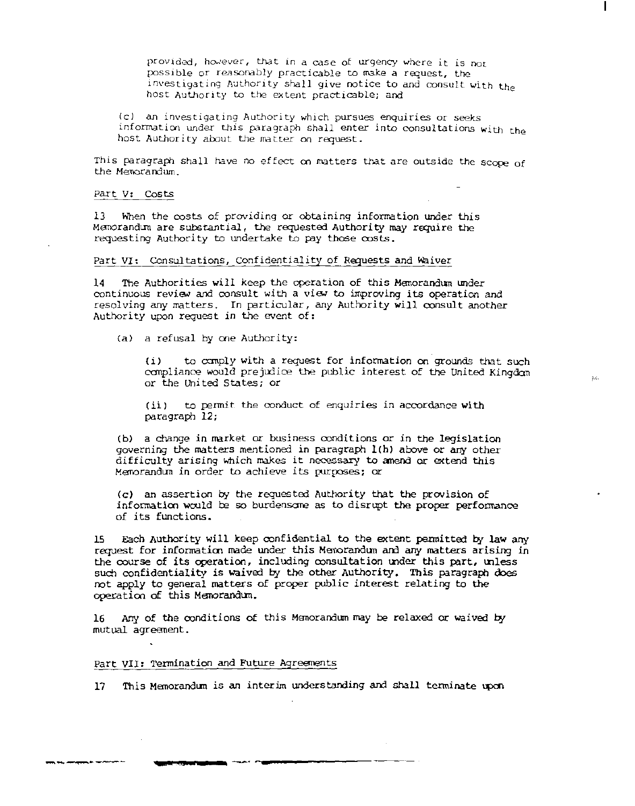provided, however, that in a case of urgency where it is not possible or reasonably practicable to make a request, the investigating Authority shall give notice to and consult with the host Authority to the extent practicable; and

(c) an investigating Authority which pursues enquiries or seeks information under this paragraph shall enter into consultations with the host Authority about the matter on request.

This paragraph shall have no effect on matters that are outside the scope of the Memorandum.

#### Part V: Costs

 $13<sub>1</sub>$ When the costs of providing or obtaining information under this Memorandum are substantial, the requested Authority may require the requesting Authority to undertake to pay those costs.

#### Part VI: Consultations, Confidentiality of Requests and Waiver

The Authorities will keep the operation of this Memorandum under 14 continuous review and consult with a view to improving its operation and resolving any matters. In particular, any Authority will consult another Authority upon request in the event of:

(a) a refusal by one Authority:

to comply with a request for information on grounds that such  $(i)$ compliance would prejudice the public interest of the United Kingdom or the United States; or

to permit the conduct of enquiries in accordance with  $(ii)$ paragraph 12;

(b) a change in market or business conditions or in the legislation governing the matters mentioned in paragraph 1(h) above or any other difficulty arising which makes it necessary to amend or extend this Memorandum in order to achieve its purposes; or

(c) an assertion by the requested Authority that the provision of information would be so burdensome as to disrupt the proper performance of its functions.

Each Authority will keep confidential to the extent permitted by law any 15. request for information made under this Memorandum and any matters arising in the course of its operation, including consultation under this part, unless such confidentiality is waived by the other Authority. This paragraph does not apply to general matters of proper public interest relating to the operation of this Memorandum.

Any of the conditions of this Memorandum may be relaxed or waived by 16 mutual agreement.

### Part VII: Termination and Future Agreements

This Memorandum is an interim understanding and shall terminate upon  $17<sub>2</sub>$